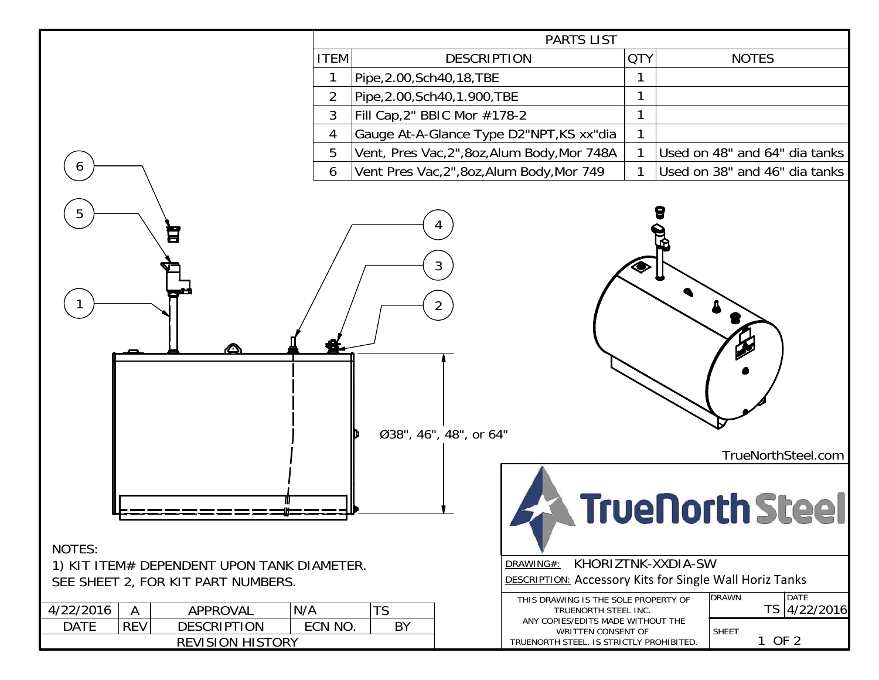